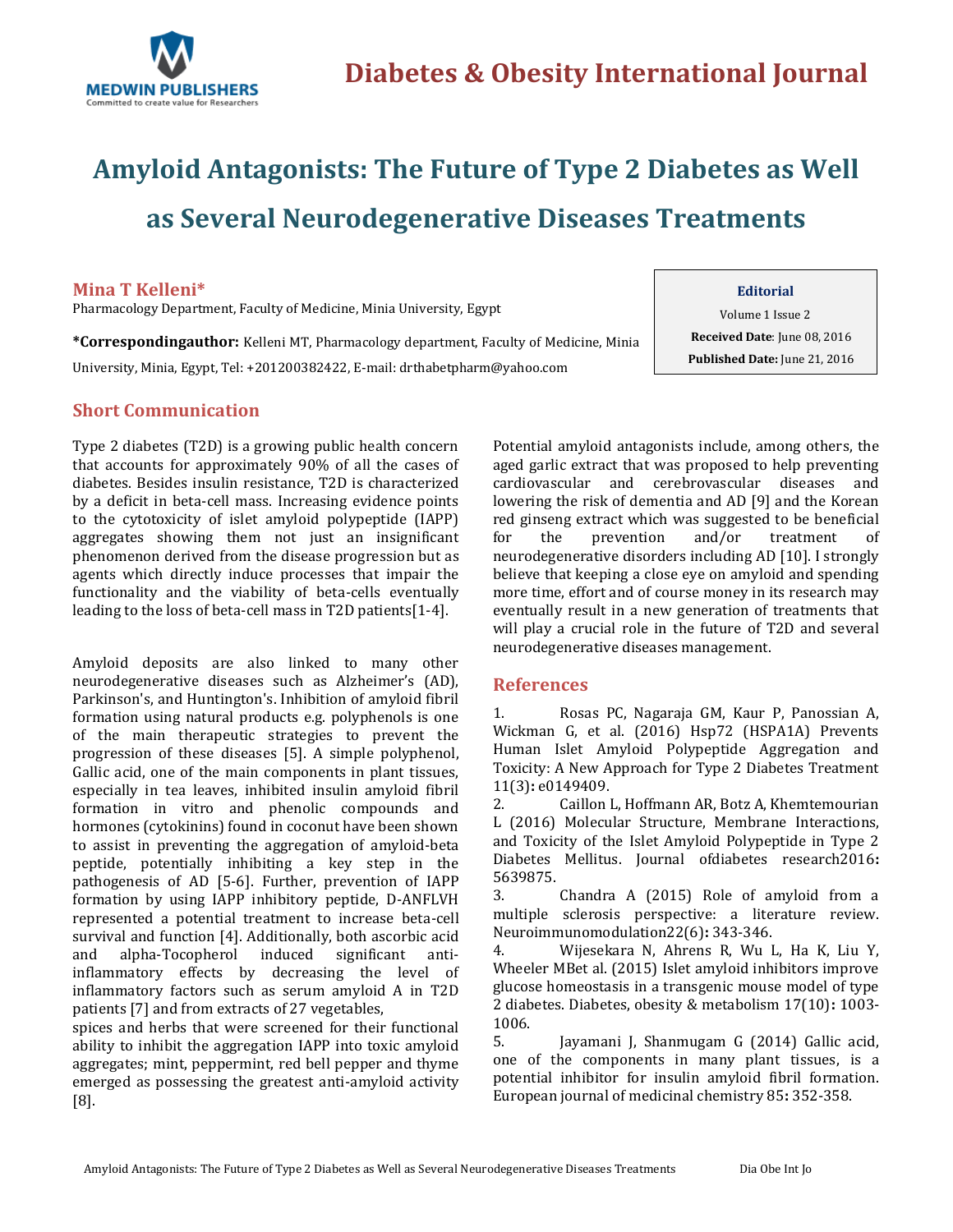

# **Amyloid Antagonists: The Future of Type 2 Diabetes as Well as Several Neurodegenerative Diseases Treatments**

#### **Mina T Kelleni\***

Pharmacology Department, Faculty of Medicine, Minia University, Egypt

**\*Correspondingauthor:** Kelleni MT, Pharmacology department, Faculty of Medicine, Minia University, Minia, Egypt, Tel: +201200382422, E-mail[: drthabetpharm@yahoo.com](mailto:drthabetpharm@yahoo.com)

## **Editorial**

Volume 1 Issue 2 **Received Date**: June 08, 2016 **Published Date:** June 21, 2016

### **Short Communication**

Type 2 diabetes (T2D) is a growing public health concern that accounts for approximately 90% of all the cases of diabetes. Besides insulin resistance, T2D is characterized by a deficit in beta-cell mass. Increasing evidence points to the cytotoxicity of islet amyloid polypeptide (IAPP) aggregates showing them not just an insignificant phenomenon derived from the disease progression but as agents which directly induce processes that impair the functionality and the viability of beta-cells eventually leading to the loss of beta-cell mass in T2D patients[1-4].

Amyloid deposits are also linked to many other neurodegenerative diseases such as Alzheimer's (AD), Parkinson's, and Huntington's. Inhibition of amyloid fibril formation using natural products e.g. polyphenols is one of the main therapeutic strategies to prevent the progression of these diseases [5]. A simple polyphenol, Gallic acid, one of the main components in plant tissues, especially in tea leaves, inhibited insulin amyloid fibril formation in vitro and phenolic compounds and hormones (cytokinins) found in coconut have been shown to assist in preventing the aggregation of amyloid-beta peptide, potentially inhibiting a key step in the pathogenesis of AD [5-6]. Further, prevention of IAPP formation by using IAPP inhibitory peptide, D-ANFLVH represented a potential treatment to increase beta-cell survival and function [4]. Additionally, both ascorbic acid and alpha-Tocopherol induced significant antiinflammatory effects by decreasing the level of inflammatory factors such as serum amyloid A in T2D patients [7] and from extracts of 27 vegetables,

spices and herbs that were screened for their functional ability to inhibit the aggregation IAPP into toxic amyloid aggregates; mint, peppermint, red bell pepper and thyme emerged as possessing the greatest anti-amyloid activity [8].

Potential amyloid antagonists include, among others, the aged garlic extract that was proposed to help preventing cardiovascular and cerebrovascular diseases and lowering the risk of dementia and AD [9] and the Korean red ginseng extract which was suggested to be beneficial for the prevention and/or treatment of neurodegenerative disorders including AD [10]. I strongly believe that keeping a close eye on amyloid and spending more time, effort and of course money in its research may eventually result in a new generation of treatments that will play a crucial role in the future of T2D and several neurodegenerative diseases management.

#### **References**

1. [Rosas PC, Nagaraja GM, Kaur P, Panossian A,](http://www.ncbi.nlm.nih.gov/pubmed/26960140)  [Wickman G, et al. \(2016\) Hsp72 \(HSPA1A\) Prevents](http://www.ncbi.nlm.nih.gov/pubmed/26960140)  [Human Islet Amyloid Polypeptide Aggregation and](http://www.ncbi.nlm.nih.gov/pubmed/26960140)  [Toxicity: A New Approach for Type 2 Diabetes Treatment](http://www.ncbi.nlm.nih.gov/pubmed/26960140)  11(3)**:** [e0149409.](http://www.ncbi.nlm.nih.gov/pubmed/26960140)

2. [Caillon L, Hoffmann AR, Botz A, Khemtemourian](http://www.hindawi.com/journals/jdr/2016/5639875/)  [L \(2016\) Molecular Structure, Membrane Interactions,](http://www.hindawi.com/journals/jdr/2016/5639875/)  [and Toxicity of the Islet Amyloid Polypeptide in Type 2](http://www.hindawi.com/journals/jdr/2016/5639875/)  [Diabetes Mellitus. Journal ofdiabetes research2016](http://www.hindawi.com/journals/jdr/2016/5639875/)**:** [5639875.](http://www.hindawi.com/journals/jdr/2016/5639875/)

3. [Chandra A \(2015\) Role of amyloid from a](http://www.ncbi.nlm.nih.gov/pubmed/25766575)  [multiple sclerosis perspective: a literature review.](http://www.ncbi.nlm.nih.gov/pubmed/25766575)  [Neuroimmunomodulation22\(6\)](http://www.ncbi.nlm.nih.gov/pubmed/25766575)**:** 343-346.

4. [Wijesekara N, Ahrens R, Wu L, Ha K, Liu Y,](http://onlinelibrary.wiley.com/doi/10.1111/dom.12529/abstract)  [Wheeler MBet al. \(2015\) Islet amyloid inhibitors improve](http://onlinelibrary.wiley.com/doi/10.1111/dom.12529/abstract)  [glucose homeostasis in a transgenic mouse model of type](http://onlinelibrary.wiley.com/doi/10.1111/dom.12529/abstract)  [2 diabetes. Diabetes, obesity & metabolism 17\(10\)](http://onlinelibrary.wiley.com/doi/10.1111/dom.12529/abstract)**:** 1003- [1006.](http://onlinelibrary.wiley.com/doi/10.1111/dom.12529/abstract)

5. [Jayamani J, Shanmugam G \(2014\) Gallic acid,](http://www.ncbi.nlm.nih.gov/pubmed/25105923)  [one of the components in many plant tissues,](http://www.ncbi.nlm.nih.gov/pubmed/25105923) is a [potential inhibitor for insulin amyloid fibril formation.](http://www.ncbi.nlm.nih.gov/pubmed/25105923)  [European journal of medicinal chemistry 85](http://www.ncbi.nlm.nih.gov/pubmed/25105923)**:** 352-358.